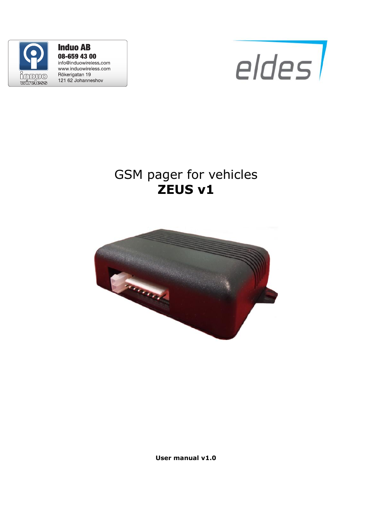

**Induo AB** 08-659 43 00 info@induowireless.com www.induowireless.com Rökerigatan 19 121 62 Johanneshov



## GSM pager for vehicles **ZEUS v1**



**User manual v1.0**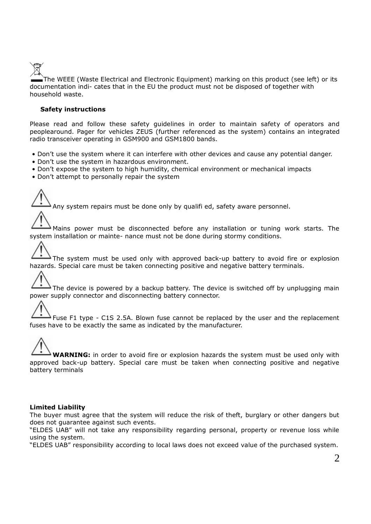

The WEEE (Waste Electrical and Electronic Equipment) marking on this product (see left) or its documentation indi- cates that in the EU the product must not be disposed of together with household waste.

#### **Safety instructions**

Please read and follow these safety guidelines in order to maintain safety of operators and peoplearound. Pager for vehicles ZEUS (further referenced as the system) contains an integrated radio transceiver operating in GSM900 and GSM1800 bands.

- Don't use the system where it can interfere with other devices and cause any potential danger.
- Don't use the system in hazardous environment.
- Don't expose the system to high humidity, chemical environment or mechanical impacts
- Don't attempt to personally repair the system

Any system repairs must be done only by qualifi ed, safety aware personnel.

Mains power must be disconnected before any installation or tuning work starts. The system installation or mainte- nance must not be done during stormy conditions.

The system must be used only with approved back-up battery to avoid fire or explosion hazards. Special care must be taken connecting positive and negative battery terminals.

The device is powered by a backup battery. The device is switched off by unplugging main power supply connector and disconnecting battery connector.

 $\Delta$  Fuse F1 type - C1S 2.5A. Blown fuse cannot be replaced by the user and the replacement fuses have to be exactly the same as indicated by the manufacturer.

#### **WARNING:** in order to avoid fire or explosion hazards the system must be used only with approved back-up battery. Special care must be taken when connecting positive and negative battery terminals

#### **Limited Liability**

The buyer must agree that the system will reduce the risk of theft, burglary or other dangers but does not guarantee against such events.

"ELDES UAB" will not take any responsibility regarding personal, property or revenue loss while using the system.

"ELDES UAB" responsibility according to local laws does not exceed value of the purchased system.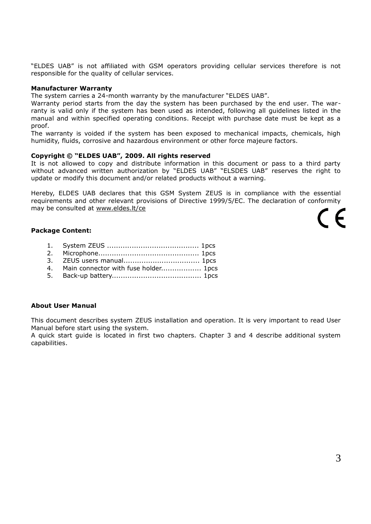"ELDES UAB" is not affiliated with GSM operators providing cellular services therefore is not responsible for the quality of cellular services.

#### **Manufacturer Warranty**

The system carries a 24-month warranty by the manufacturer "ELDES UAB".

Warranty period starts from the day the system has been purchased by the end user. The warranty is valid only if the system has been used as intended, following all guidelines listed in the manual and within specified operating conditions. Receipt with purchase date must be kept as a proof.

The warranty is voided if the system has been exposed to mechanical impacts, chemicals, high humidity, fluids, corrosive and hazardous environment or other force majeure factors.

#### **Copyright © "ELDES UAB", 2009. All rights reserved**

It is not allowed to copy and distribute information in this document or pass to a third party without advanced written authorization by "ELDES UAB" "ELSDES UAB" reserves the right to update or modify this document and/or related products without a warning.

Hereby, ELDES UAB declares that this GSM System ZEUS is in compliance with the essential requirements and other relevant provisions of Directive 1999/5/EC. The declaration of conformity may be consulted at [www.eldes.lt/ce](http://www.eldes.lt/ce)

# $\epsilon$

#### **Package Content:**

- 1. System ZEUS ......................................... 1pcs
- 2. Microphone............................................. 1pcs
- 3. ZEUS users manual.................................. 1pcs
- 4. Main connector with fuse holder.................. 1pcs
- 5. Back-up battery........................................ 1pcs

#### **About User Manual**

This document describes system ZEUS installation and operation. It is very important to read User Manual before start using the system.

A quick start guide is located in first two chapters. Chapter 3 and 4 describe additional system capabilities.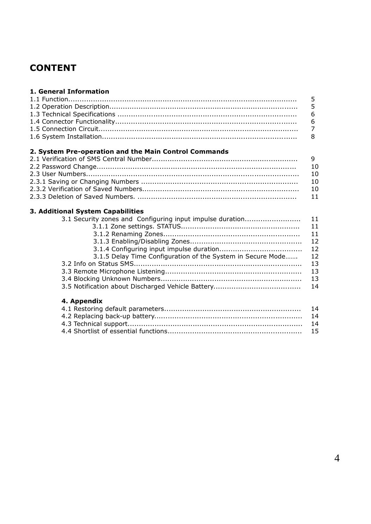## **CONTENT**

#### **1. General Information**

### **2. System Pre-operation and the Main Control Commands**

#### **3. Additional System Capabilities**

| 3.1 Security zones and Configuring input impulse duration   | 11 |
|-------------------------------------------------------------|----|
|                                                             | 11 |
|                                                             | 11 |
|                                                             | 12 |
|                                                             | 12 |
| 3.1.5 Delay Time Configuration of the System in Secure Mode | 12 |
|                                                             | 13 |
|                                                             | 13 |
|                                                             | 13 |
|                                                             | 14 |
| $\bm{A}$ . As a second to a set of $\bm{A}$                 |    |
|                                                             |    |

#### **4. Appendix**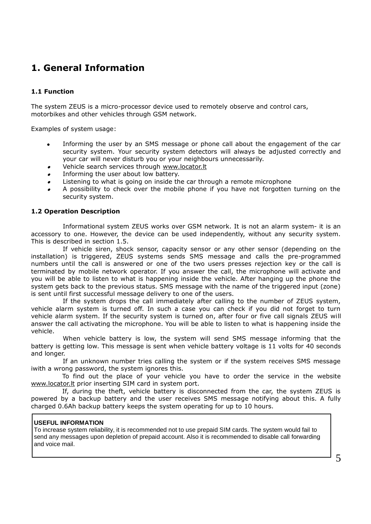## **1. General Information**

#### **1.1 Function**

The system ZEUS is a micro-processor device used to remotely observe and control cars, motorbikes and other vehicles through GSM network.

Examples of system usage:

- Informing the user by an SMS message or phone call about the engagement of the car  $\ddot{\phantom{a}}$ security system. Your security system detectors will always be adjusted correctly and your car will never disturb you or your neighbours unnecessarily.
- Vehicle search services through [www.locator.lt](http://www.locator.lt/)
- Informing the user about low battery.
- Listening to what is going on inside the car through a remote microphone
- A possibility to check over the mobile phone if you have not forgotten turning on the security system.

#### **1.2 Operation Description**

Informational system ZEUS works over GSM network. It is not an alarm system- it is an accessory to one. However, the device can be used independently, without any security system. This is described in section 1.5.

If vehicle siren, shock sensor, capacity sensor or any other sensor (depending on the installation) is triggered, ZEUS systems sends SMS message and calls the pre-programmed numbers until the call is answered or one of the two users presses rejection key or the call is terminated by mobile network operator. If you answer the call, the microphone will activate and you will be able to listen to what is happening inside the vehicle. After hanging up the phone the system gets back to the previous status. SMS message with the name of the triggered input (zone) is sent until first successful message delivery to one of the users.

If the system drops the call immediately after calling to the number of ZEUS system, vehicle alarm system is turned off. In such a case you can check if you did not forget to turn vehicle alarm system. If the security system is turned on, after four or five call signals ZEUS will answer the call activating the microphone. You will be able to listen to what is happening inside the vehicle.

When vehicle battery is low, the system will send SMS message informing that the battery is getting low. This message is sent when vehicle battery voltage is 11 volts for 40 seconds and longer.

If an unknown number tries calling the system or if the system receives SMS message iwith a wrong password, the system ignores this.

To find out the place of your vehicle you have to order the service in the website [www.locator.lt](http://www.locator.lt/) prior inserting SIM card in system port.

If, during the theft, vehicle battery is disconnected from the car, the system ZEUS is powered by a backup battery and the user receives SMS message notifying about this. A fully charged 0.6Ah backup battery keeps the system operating for up to 10 hours.

#### **USEFUL INFORMATION**

To increase system reliability, it is recommended not to use prepaid SIM cards. The system would fail to send any messages upon depletion of prepaid account. Also it is recommended to disable call forwarding and voice mail.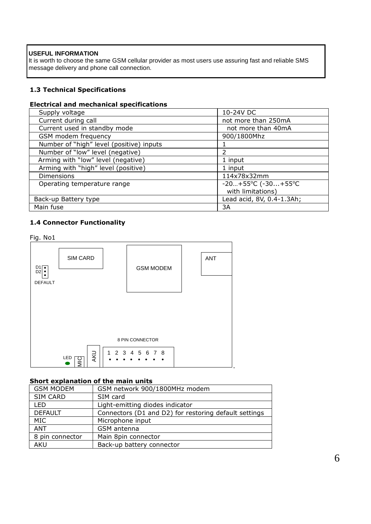#### **USEFUL INFORMATION**

It is worth to choose the same GSM cellular provider as most users use assuring fast and reliable SMS message delivery and phone call connection.

#### **1.3 Technical Specifications**

#### **Electrical and mechanical specifications**

| Supply voltage                           | 10-24V DC                             |
|------------------------------------------|---------------------------------------|
| Current during call                      | not more than 250mA                   |
| Current used in standby mode             | not more than 40mA                    |
| GSM modem frequency                      | 900/1800Mhz                           |
| Number of "high" level (positive) inputs |                                       |
| Number of "low" level (negative)         | 2                                     |
| Arming with "low" level (negative)       | 1 input                               |
| Arming with "high" level (positive)      | 1 input                               |
| <b>Dimensions</b>                        | 114x78x32mm                           |
| Operating temperature range              | $-20+55^{\circ}C$ ( $-30+55^{\circ}C$ |
|                                          | with limitations)                     |
| Back-up Battery type                     | Lead acid, 8V, 0.4-1.3Ah;             |
| Main fuse                                | 3A                                    |

#### **1.4 Connector Functionality**



#### **Short explanation of the main units**

| . <i>. .</i>     |                                                       |  |
|------------------|-------------------------------------------------------|--|
| <b>GSM MODEM</b> | GSM network 900/1800MHz modem                         |  |
| <b>SIM CARD</b>  | SIM card                                              |  |
| <b>LED</b>       | Light-emitting diodes indicator                       |  |
| <b>DEFAULT</b>   | Connectors (D1 and D2) for restoring default settings |  |
| MIC              | Microphone input                                      |  |
| ANT              | GSM antenna                                           |  |
| 8 pin connector  | Main 8pin connector                                   |  |
| <b>AKU</b>       | Back-up battery connector                             |  |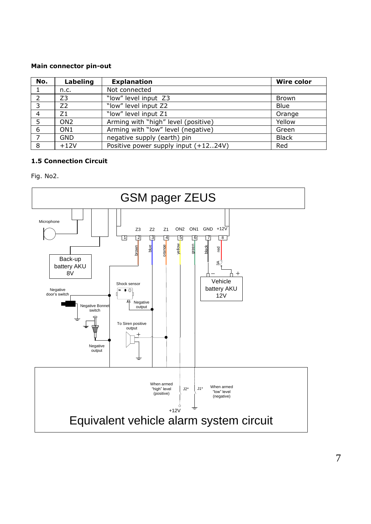#### **Main connector pin-out**

| No.            | Labeling        | <b>Explanation</b>                   | Wire color   |
|----------------|-----------------|--------------------------------------|--------------|
|                | n.c.            | Not connected                        |              |
| $\mathcal{L}$  | Z3              | "low" level input Z3                 | <b>Brown</b> |
| -3             | Z2              | "low" level input Z2                 | <b>Blue</b>  |
| $\overline{4}$ | Ζ1              | "low" level input Z1                 | Orange       |
| -5             | ON <sub>2</sub> | Arming with "high" level (positive)  | Yellow       |
| - 6            | ON <sub>1</sub> | Arming with "low" level (negative)   | Green        |
|                | <b>GND</b>      | negative supply (earth) pin          | <b>Black</b> |
| 8              | $+12V$          | Positive power supply input (+1224V) | Red          |

#### **1.5 Connection Circuit**

Fig. No2.



7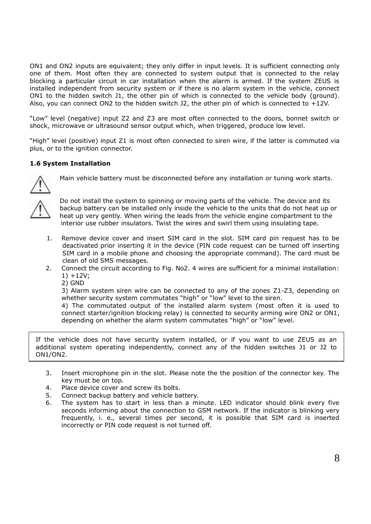ON1 and ON2 inputs are equivalent; they only differ in input levels. It is sufficient connecting only one of them. Most often they are connected to system output that is connected to the relay blocking a particular circuit in car installation when the alarm is armed. If the system ZEUS is installed independent from security system or if there is no alarm system in the vehicle, connect ON1 to the hidden switch J1, the other pin of which is connected to the vehicle body (ground). Also, you can connect ON2 to the hidden switch J2, the other pin of which is connected to  $+12V$ .

"Low" level (negative) input Z2 and Z3 are most often connected to the doors, bonnet switch or shock, microwave or ultrasound sensor output which, when triggered, produce low level.

"High" level (positive) input Z1 is most often connected to siren wire, if the latter is commuted via plus, or to the ignition connector.

#### **1.6 System Installation**



Main vehicle battery must be disconnected before any installation or tuning work starts.



Do not install the system to spinning or moving parts of the vehicle. The device and its backup battery can be installed only inside the vehicle to the units that do not heat up or heat up very gently. When wiring the leads from the vehicle engine compartment to the interior use rubber insulators. Twist the wires and swirl them using insulating tape.

- 1. Remove device cover and insert SIM card in the slot. SIM card pin request has to be deactivated prior inserting it in the device (PIN code request can be turned off inserting SIM card in a mobile phone and choosing the appropriate command). The card must be clean of old SMS messages.
- 2. Connect the circuit according to Fig. No2. 4 wires are sufficient for a minimal installation: 1) +12V;
	- 2) GND

3) Alarm system siren wire can be connected to any of the zones Z1-Z3, depending on whether security system commutates "high" or "low" level to the siren.

4) The commutated output of the installed alarm system (most often it is used to connect starter/ignition blocking relay) is connected to security arming wire ON2 or ON1, depending on whether the alarm system commutates "high" or "low" level.

If the vehicle does not have security system installed, or if you want to use ZEUS as an additional system operating independently, connect any of the hidden switches J1 or J2 to ON1/ON2.

- 3. Insert microphone pin in the slot. Please note the the position of the connector key. The key must be on top.
- 4. Place device cover and screw its bolts.
- 5. Connect backup battery and vehicle battery.
- 6. The system has to start in less than a minute. LED indicator should blink every five seconds informing about the connection to GSM network. If the indicator is blinking very frequently, i. e., several times per second, it is possible that SIM card is inserted incorrectly or PIN code request is not turned off.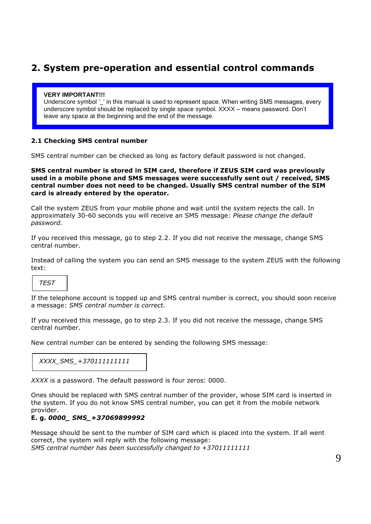## **2. System pre-operation and essential control commands**

#### **VERY IMPORTANT!!!**

Underscore symbol ' ' in this manual is used to represent space. When writing SMS messages, every underscore symbol should be replaced by single space symbol. XXXX – means password. Don"t leave any space at the beginning and the end of the message.

#### **2.1 Checking SMS central number**

SMS central number can be checked as long as factory default password is not changed.

**SMS central number is stored in SIM card, therefore if ZEUS SIM card was previously used in a mobile phone and SMS messages were successfully sent out / received, SMS central number does not need to be changed. Usually SMS central number of the SIM card is already entered by the operator.**

Call the system ZEUS from your mobile phone and wait until the system rejects the call. In approximately 30-60 seconds you will receive an SMS message: *Please change the default password.*

If you received this message, go to step 2.2. If you did not receive the message, change SMS central number.

Instead of calling the system you can send an SMS message to the system ZEUS with the following text:

#### *TEST*

If the telephone account is topped up and SMS central number is correct, you should soon receive a message: *SMS central number is correct.*

If you received this message, go to step 2.3. If you did not receive the message, change SMS central number.

New central number can be entered by sending the following SMS message:

| XXXX SMS +370111111111 |  |  |  |
|------------------------|--|--|--|
|------------------------|--|--|--|

*XXXX* is a password. The default password is four zeros: 0000.

Ones should be replaced with SMS central number of the provider, whose SIM card is inserted in the system. If you do not know SMS central number, you can get it from the mobile network provider.

#### **E. g.** *0000\_ SMS\_+37069899992*

Message should be sent to the number of SIM card which is placed into the system. If all went correct, the system will reply with the following message: *SMS central number has been successfully changed to +37011111111*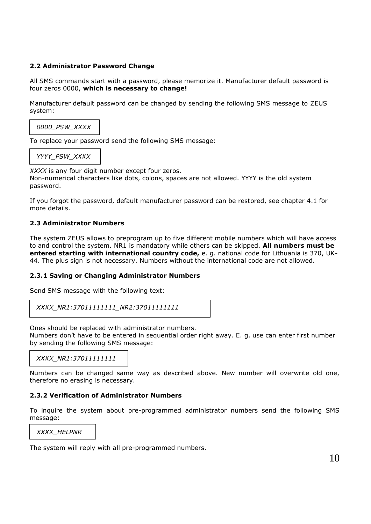#### **2.2 Administrator Password Change**

All SMS commands start with a password, please memorize it. Manufacturer default password is four zeros 0000, **which is necessary to change!** 

Manufacturer default password can be changed by sending the following SMS message to ZEUS system:

*0000\_PSW\_XXXX*

To replace your password send the following SMS message:

*YYYY\_PSW\_XXXX*

*XXXX* is any four digit number except four zeros.

Non-numerical characters like dots, colons, spaces are not allowed. YYYY is the old system password.

If you forgot the password, default manufacturer password can be restored, see chapter 4.1 for more details.

#### **2.3 Administrator Numbers**

The system ZEUS allows to preprogram up to five different mobile numbers which will have access to and control the system. NR1 is mandatory while others can be skipped. **All numbers must be entered starting with international country code,** e. g. national code for Lithuania is 370, UK-44. The plus sign is not necessary. Numbers without the international code are not allowed.

#### **2.3.1 Saving or Changing Administrator Numbers**

Send SMS message with the following text:

```
XXXX_NR1:37011111111_NR2:37011111111
```
Ones should be replaced with administrator numbers.

Numbers don't have to be entered in sequential order right away. E. g. use can enter first number by sending the following SMS message:

*XXXX\_NR1:37011111111*

Numbers can be changed same way as described above. New number will overwrite old one, therefore no erasing is necessary.

#### **2.3.2 Verification of Administrator Numbers**

To inquire the system about pre-programmed administrator numbers send the following SMS message:

*XXXX\_HELPNR*

The system will reply with all pre-programmed numbers.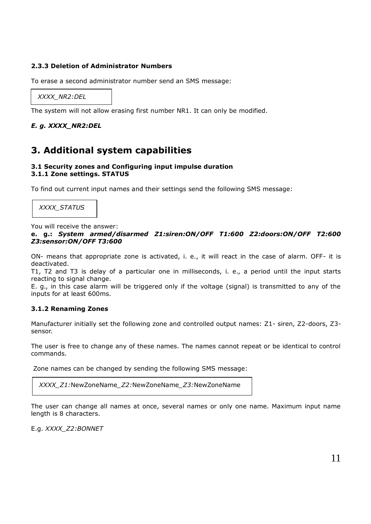#### **2.3.3 Deletion of Administrator Numbers**

To erase a second administrator number send an SMS message:

*XXXX\_NR2:DEL*

The system will not allow erasing first number NR1. It can only be modified.

#### *E. g. XXXX\_NR2:DEL*

## **3. Additional system capabilities**

#### **3.1 Security zones and Configuring input impulse duration 3.1.1 Zone settings. STATUS**

To find out current input names and their settings send the following SMS message:

*XXXX\_STATUS*

You will receive the answer:

#### **e. g.:** *System armed/disarmed Z1:siren:ON/OFF T1:600 Z2:doors:ON/OFF T2:600 Z3:sensor:ON/OFF T3:600*

ON- means that appropriate zone is activated, i. e., it will react in the case of alarm. OFF- it is deactivated.

T1, T2 and T3 is delay of a particular one in milliseconds, i. e., a period until the input starts reacting to signal change.

E. g., in this case alarm will be triggered only if the voltage (signal) is transmitted to any of the inputs for at least 600ms.

#### **3.1.2 Renaming Zones**

Manufacturer initially set the following zone and controlled output names: Z1- siren, Z2-doors, Z3 sensor.

The user is free to change any of these names. The names cannot repeat or be identical to control commands.

Zone names can be changed by sending the following SMS message:

*XXXX\_Z1:*NewZoneName*\_Z2:*NewZoneName*\_Z3:*NewZoneName

The user can change all names at once, several names or only one name. Maximum input name length is 8 characters.

E.g. *XXXX\_Z2:BONNET*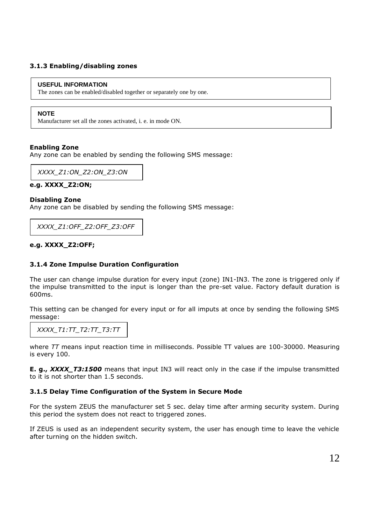#### **3.1.3 Enabling/disabling zones**

#### **USEFUL INFORMATION**

The zones can be enabled/disabled together or separately one by one.

#### **NOTE**

Manufacturer set all the zones activated, i. e. in mode ON.

#### **Enabling Zone**

Any zone can be enabled by sending the following SMS message:

*XXXX\_Z1:ON\_Z2:ON\_Z3:ON*

#### **e.g. XXXX\_Z2:ON;**

#### **Disabling Zone**

Any zone can be disabled by sending the following SMS message:

*XXXX\_Z1:OFF\_Z2:OFF\_Z3:OFF*

#### **e.g. XXXX\_Z2:OFF;**

#### **3.1.4 Zone Impulse Duration Configuration**

The user can change impulse duration for every input (zone) IN1-IN3. The zone is triggered only if the impulse transmitted to the input is longer than the pre-set value. Factory default duration is 600ms.

This setting can be changed for every input or for all imputs at once by sending the following SMS message:

*XXXX\_T1:TT\_T2:TT\_T3:TT*

where *TT* means input reaction time in milliseconds. Possible TT values are 100-30000. Measuring is every 100.

**E. g.,** *XXXX* T3:1500 means that input IN3 will react only in the case if the impulse transmitted to it is not shorter than 1.5 seconds.

#### **3.1.5 Delay Time Configuration of the System in Secure Mode**

For the system ZEUS the manufacturer set 5 sec. delay time after arming security system. During this period the system does not react to triggered zones.

If ZEUS is used as an independent security system, the user has enough time to leave the vehicle after turning on the hidden switch.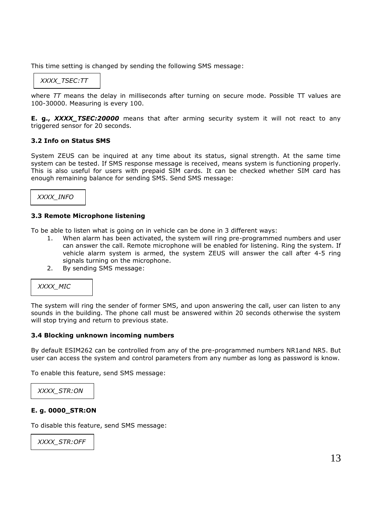This time setting is changed by sending the following SMS message:

## *XXXX\_TSEC:TT*

where *TT* means the delay in milliseconds after turning on secure mode. Possible TT values are 100-30000. Measuring is every 100.

**E. g.,** *XXXX\_TSEC:20000* means that after arming security system it will not react to any triggered sensor for 20 seconds.

#### **3.2 Info on Status SMS**

System ZEUS can be inquired at any time about its status, signal strength. At the same time system can be tested. If SMS response message is received, means system is functioning properly. This is also useful for users with prepaid SIM cards. It can be checked whether SIM card has enough remaining balance for sending SMS. Send SMS message:

#### *XXXX\_INFO*

#### **3.3 Remote Microphone listening**

To be able to listen what is going on in vehicle can be done in 3 different ways:

- 1. When alarm has been activated, the system will ring pre-programmed numbers and user can answer the call. Remote microphone will be enabled for listening. Ring the system. If vehicle alarm system is armed, the system ZEUS will answer the call after 4-5 ring signals turning on the microphone.
- 2. By sending SMS message:



The system will ring the sender of former SMS, and upon answering the call, user can listen to any sounds in the building. The phone call must be answered within 20 seconds otherwise the system will stop trying and return to previous state.

#### **3.4 Blocking unknown incoming numbers**

By default ESIM262 can be controlled from any of the pre-programmed numbers NR1and NR5. But user can access the system and control parameters from any number as long as password is know.

To enable this feature, send SMS message:

*XXXX\_STR:ON*

#### **E. g. 0000\_STR:ON**

To disable this feature, send SMS message:

*XXXX\_STR:OFF*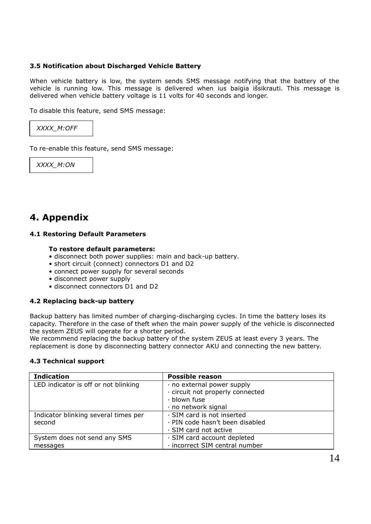#### **3.5 Notification about Discharged Vehicle Battery**

When vehicle battery is low, the system sends SMS message notifying that the battery of the vehicle is running low. This message is delivered when ius baigia išsikrauti. This message is delivered when vehicle battery voltage is 11 volts for 40 seconds and longer.

To disable this feature, send SMS message:



To re-enable this feature, send SMS message:

*XXXX\_M:ON*

## **4. Appendix**

#### **4.1 Restoring Default Parameters**

#### **To restore default parameters:**

- disconnect both power supplies: main and back-up battery.
- short circuit (connect) connectors D1 and D2
- connect power supply for several seconds
- disconnect power supply
- disconnect connectors D1 and D2

#### **4.2 Replacing back-up battery**

Backup battery has limited number of charging-discharging cycles. In time the battery loses its capacity. Therefore in the case of theft when the main power supply of the vehicle is disconnected the system ZEUS will operate for a shorter period.

We recommend replacing the backup battery of the system ZEUS at least every 3 years. The replacement is done by disconnecting battery connector AKU and connecting the new battery.

#### **4.3 Technical support**

| <b>Indication</b>                    | <b>Possible reason</b>           |
|--------------------------------------|----------------------------------|
| LED indicator is off or not blinking | · no external power supply       |
|                                      | · circuit not properly connected |
|                                      | · blown fuse                     |
|                                      | · no network signal              |
| Indicator blinking several times per | · SIM card is not inserted       |
| second                               | · PIN code hasn't been disabled  |
|                                      | · SIM card not active            |
| System does not send any SMS         | · SIM card account depleted      |
| messages                             | · incorrect SIM central number   |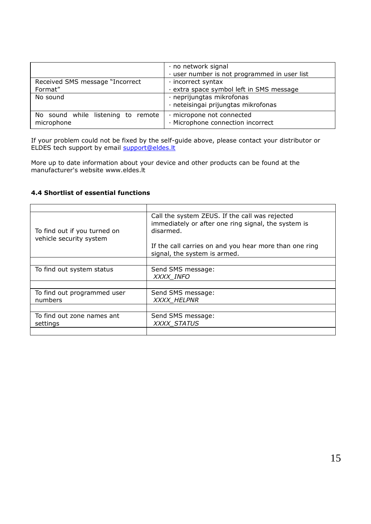|                                                  | · no network signal<br>· user number is not programmed in user list |
|--------------------------------------------------|---------------------------------------------------------------------|
| Received SMS message "Incorrect"                 | $\cdot$ incorrect syntax                                            |
| Format"                                          | extra space symbol left in SMS message                              |
| No sound                                         | · neprijungtas mikrofonas<br>· neteisingai prijungtas mikrofonas    |
|                                                  |                                                                     |
| No sound while listening to remote<br>microphone | · micropone not connected<br>· Microphone connection incorrect      |

If your problem could not be fixed by the self-guide above, please contact your distributor or ELDES tech support by email **[support@eldes.lt](mailto:support@eldes.lt)** 

More up to date information about your device and other products can be found at the manufacturer's website www.eldes.lt

#### **4.4 Shortlist of essential functions**

| To find out if you turned on<br>vehicle security system | Call the system ZEUS. If the call was rejected<br>immediately or after one ring signal, the system is<br>disarmed.<br>If the call carries on and you hear more than one ring |
|---------------------------------------------------------|------------------------------------------------------------------------------------------------------------------------------------------------------------------------------|
|                                                         | signal, the system is armed.                                                                                                                                                 |
|                                                         |                                                                                                                                                                              |
| To find out system status                               | Send SMS message:<br>XXXX INFO                                                                                                                                               |
|                                                         |                                                                                                                                                                              |
|                                                         |                                                                                                                                                                              |
| To find out programmed user<br>numbers                  | Send SMS message:<br>XXXX HELPNR                                                                                                                                             |
|                                                         |                                                                                                                                                                              |
| To find out zone names ant                              | Send SMS message:                                                                                                                                                            |
| settings                                                | <b>XXXX STATUS</b>                                                                                                                                                           |
|                                                         |                                                                                                                                                                              |